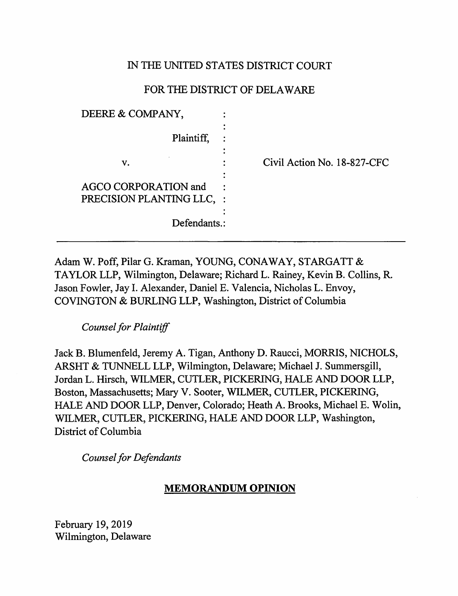# IN THE UNITED STATES DISTRICT COURT

# FOR THE DISTRICT OF DELAWARE

| DEERE & COMPANY,                                                         |                             |
|--------------------------------------------------------------------------|-----------------------------|
| Plaintiff,                                                               | ٠                           |
| v.                                                                       | Civil Action No. 18-827-CFC |
| <b>AGCO CORPORATION and</b><br>PRECISION PLANTING LLC. :<br>Defendants.: | ٠                           |

Adam W. Poff, Pilar G. Kraman, YOUNG, CONAWAY, STARGATT & TAYLOR LLP, Wilmington, Delaware; Richard L. Rainey, Kevin B. Collins, R. Jason Fowler, Jay I. Alexander, Daniel E. Valencia, Nicholas L. Envoy, COVINGTON & BURLING LLP, Washington, District of Columbia

*Counsel for Plaintiff* 

Jack B. Blumenfeld, Jeremy A. Tigan, Anthony D. Raucci, MORRIS, NICHOLS, ARSHT & TUNNELL LLP, Wilmington, Delaware; Michael J. Summersgill, Jordan L. Hirsch, WILMER, CUTLER, PICKERING, HALE AND DOOR LLP, Boston, Massachusetts; Mary V. Sooter, WILMER, CUTLER, PICKERING, HALE AND DOOR LLP, Denver, Colorado; Heath A. Brooks, Michael E. Wolin, WILMER, CUTLER, PICKERING, HALE AND DOOR LLP, Washington, District of Columbia

*Counsel for Defendants* 

# **MEMORANDUM OPINION**

February 19, 2019 Wilmington, Delaware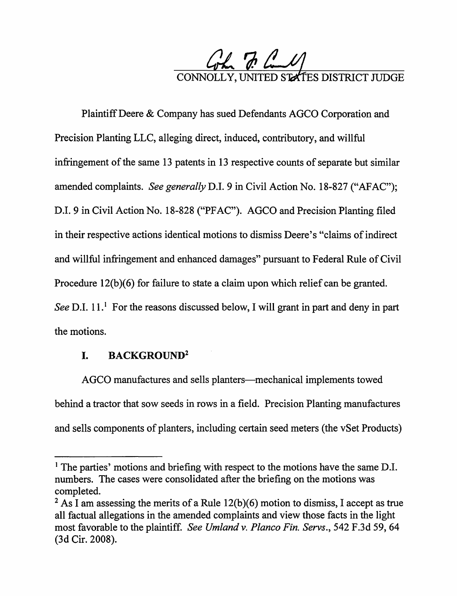

Plaintiff Deere & Company has sued Defendants AGCO Corporation and Precision Planting LLC, alleging direct, induced, contributory, and willful infringement of the same 13 patents in 13 respective counts of separate but similar amended complaints. *See generally D.I. 9* in Civil Action No. 18-827 ("AFAC"); D.I. 9 in Civil Action No. 18-828 ("PFAC"). AGCO and Precision Planting filed in their respective actions identical motions to dismiss Deere's "claims of indirect and willful infringement and enhanced damages" pursuant to Federal Rule of Civil Procedure  $12(b)(6)$  for failure to state a claim upon which relief can be granted. *See* D.I. 11.<sup>1</sup> For the reasons discussed below, I will grant in part and deny in part the motions.

## I. **BACKGROUND<sup>2</sup>**

AGCO manufactures and sells planters—mechanical implements towed behind a tractor that sow seeds in rows in a field. Precision Planting manufactures and sells components of planters, including certain seed meters (the vSet Products)

<sup>&</sup>lt;sup>1</sup> The parties' motions and briefing with respect to the motions have the same D.I. numbers. The cases were consolidated after the briefing on the motions was completed.

<sup>&</sup>lt;sup>2</sup> As I am assessing the merits of a Rule  $12(b)(6)$  motion to dismiss, I accept as true all factual allegations in the amended complaints and view those facts in the light most favorable to the plaintiff. *See Umland v. Planco Fin. Servs.,* 542 F.3d 59, 64 (3d Cir. 2008).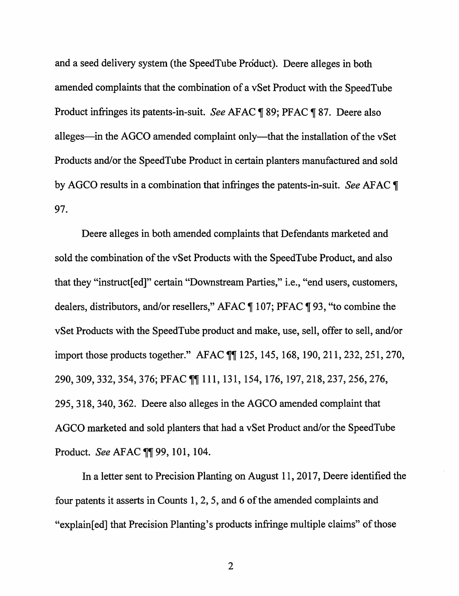and a seed delivery system (the SpeedTube Product). Deere alleges in both amended complaints that the combination of a vSet Product with the SpeedTube Product infringes its patents-in-suit. *See* AFAC ¶ 89; PFAC ¶ 87. Deere also alleges—in the AGCO amended complaint only—that the installation of the vSet Products and/or the SpeedTube Product in certain planters manufactured and sold by AGCO results in a combination that infringes the patents-in-suit. *See* AFAC **T** 97.

Deere alleges in both amended complaints that Defendants marketed and sold the combination of the vSet Products with the SpeedTube Product, and also that they "instruct[ ed]" certain "Downstream Parties," i.e., "end users, customers, dealers, distributors, and/or resellers," AFAC  $\P$  107; PFAC  $\P$  93, "to combine the vSet Products with the SpeedTube product and make, use, sell, offer to sell, and/or import those products together." AFAC  $\llbracket \llbracket 125, 145, 168, 190, 211, 232, 251, 270,$ 290, 309, 332, 354, 376; PFAC  $\P$ [111, 131, 154, 176, 197, 218, 237, 256, 276, 295, 318, 340, 362. Deere also alleges in the AGCO amended complaint that AGCO marketed and sold planters that had a vSet Product and/or the SpeedTube Product. *See* AFAC  $\P$  99, 101, 104.

In a letter sent to Precision Planting on August 11, 2017, Deere identified the four patents it asserts in Counts 1, 2, 5, and 6 of the amended complaints and "explain[ed] that Precision Planting's products infringe multiple claims" of those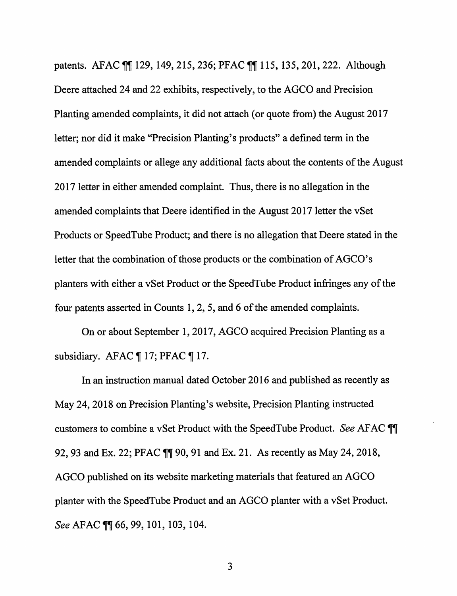patents. AFAC TT 129, 149, 215, 236; PFAC TT 115, 135, 201, 222. Although Deere attached 24 and 22 exhibits, respectively, to the AGCO and Precision Planting amended complaints, it did not attach (or quote from) the August 2017 letter; nor did it make "Precision Planting's products" a defined term in the amended complaints or allege any additional facts about the contents of the August 2017 letter in either amended complaint. Thus, there is no allegation in the amended complaints that Deere identified in the August 2017 letter the vSet Products or SpeedTube Product; and there is no allegation that Deere stated in the letter that the combination of those products or the combination of AGCO's planters with either a vSet Product or the SpeedTube Product infringes any of the four patents asserted in Counts 1, 2, 5, and 6 of the amended complaints.

On or about September 1, 2017, AGCO acquired Precision Planting as a subsidiary. AFAC  $\P$  17; PFAC  $\P$  17.

In an instruction manual dated October 2016 and published as recently as May 24, 2018 on Precision Planting's website, Precision Planting instructed customers to combine a vSet Product with the SpeedTube Product. *See* AFAC  $\P$ 92, 93 and Ex. 22; PFAC  $\P$  90, 91 and Ex. 21. As recently as May 24, 2018, AGCO published on its website marketing materials that featured an AGCO planter with the SpeedTube Product and an AGCO planter with a vSet Product. *See* AFAC **[1]** 66, 99, 101, 103, 104.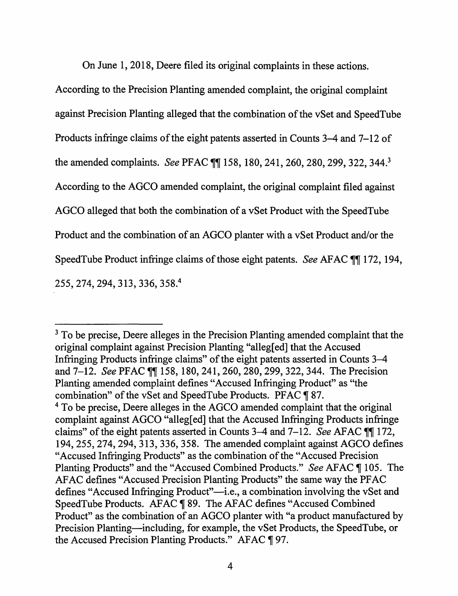On June 1, 2018, Deere filed its original complaints in these actions.

According to the Precision Planting amended complaint, the original complaint against Precision Planting alleged that the combination of the vSet and Speed Tube Products infringe claims of the eight patents asserted in Counts 3-4 and 7-12 of the amended complaints. *See PFAC [[]* 158, 180, 241, 260, 280, 299, 322, 344.<sup>3</sup> According to the AGCO amended complaint, the original complaint filed against AGCO alleged that both the combination of a vSet Product with the SpeedTube Product and the combination of an AGCO planter with a vSet Product and/or the SpeedTube Product infringe claims of those eight patents. *See AFAC [1]* 172, 194, 255,274,294,313,336,358~

<sup>3</sup> To be precise, Deere alleges in the Precision Planting amended complaint that the original complaint against Precision Planting "alleg[ed] that the Accused Infringing Products infringe claims" of the eight patents asserted in Counts 3-4 and 7-12. *See PFAC [[[*] 158, 180, 241, 260, 280, 299, 322, 344. The Precision Planting amended complaint defines "Accused Infringing Product" as "the combination" of the vSet and SpeedTube Products. PFAC ¶ 87. <sup>4</sup> To be precise, Deere alleges in the AGCO amended complaint that the original complaint against AGCO "alleg[ed] that the Accused Infringing Products infringe claims" of the eight patents asserted in Counts 3–4 and 7–12. *See* AFAC  $\P\P$  172, 194,255,274,294,313,336,358. The amended complaint against AGCO defines "Accused Infringing Products" as the combination of the "Accused Precision Planting Products" and the "Accused Combined Products." *See* AFAC ¶ 105. The AF AC defines "Accused Precision Planting Products" the same way the PFAC defines "Accused Infringing Product"—i.e., a combination involving the vSet and SpeedTube Products. AFAC ¶89. The AFAC defines "Accused Combined Product" as the combination of an AGCO planter with "a product manufactured by Precision Planting—including, for example, the vSet Products, the SpeedTube, or the Accused Precision Planting Products." AFAC  $\llbracket 97$ .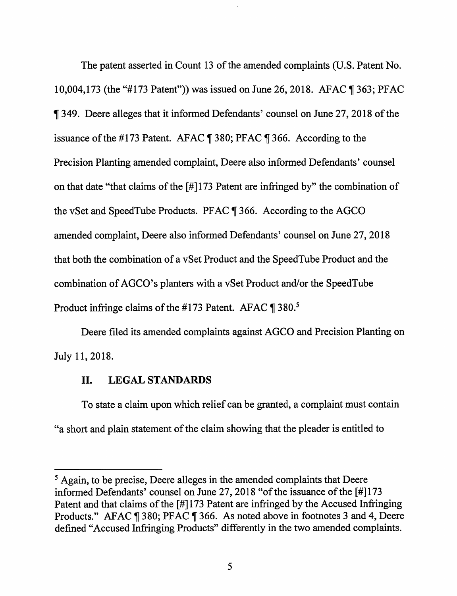The patent asserted in Count 13 of the amended complaints (U.S. Patent No. 10,004,173 (the "#173 Patent")) was issued on June 26, 2018. AFAC ¶ 363; PFAC If 349. Deere alleges that it informed Defendants' counsel on June 27, 2018 of the issuance of the #173 Patent. AFAC  $\P$  380; PFAC  $\P$  366. According to the Precision Planting amended complaint, Deere also informed Defendants' counsel on that date "that claims of the  $\left[\frac{\text{H}}{\text{H}}\right]$  atent are infringed by" the combination of the vSet and SpeedTube Products. PFAC  $\P$  366. According to the AGCO amended complaint, Deere also informed Defendants' counsel on June 27, 2018 that both the combination of a vSet Product and the SpeedTube Product and the combination of AGCO's planters with a vSet Product and/or the SpeedTube Product infringe claims of the #173 Patent. AFAC  $\P$  380.<sup>5</sup>

Deere filed its amended complaints against AGCO and Precision Planting on July 11, 2018.

## II. **LEGAL STANDARDS**

To state a claim upon which relief can be granted, a complaint must contain "a short and plain statement of the claim showing that the pleader is entitled to

*<sup>5</sup>*Again, to be precise, Deere alleges in the amended complaints that Deere informed Defendants' counsel on June 27, 2018 "of the issuance of the [#]173 Patent and that claims of the [#] 173 Patent are infringed by the Accused Infringing Products." AFAC ¶ 380; PFAC ¶ 366. As noted above in footnotes 3 and 4, Deere defined "Accused Infringing Products" differently in the two amended complaints.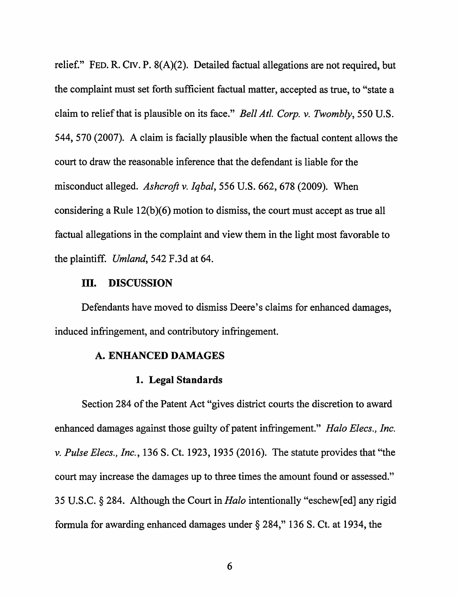relief." FED. R. CIV. P. 8(A)(2). Detailed factual allegations are not required, but the complaint must set forth sufficient factual matter, accepted as true, to "state a claim to relief that is plausible on its face." *Bell At/. Corp. v. Twombly,* 550 U.S. 544, 570 (2007). A claim is facially plausible when the factual content allows the court to draw the reasonable inference that the defendant is liable for the misconduct alleged. *Ashcroft* v. *Iqbal,* 556 U.S. 662, 678 (2009). When considering a Rule  $12(b)(6)$  motion to dismiss, the court must accept as true all factual allegations in the complaint and view them in the light most favorable to the plaintiff. *Umland,* 542 F.3d at 64.

#### III. **DISCUSSION**

Defendants have moved to dismiss Deere's claims for enhanced damages, induced infringement, and contributory infringement.

### **A. ENHANCED DAMAGES**

## **1. Legal Standards**

Section 284 of the Patent Act "gives district courts the discretion to award enhanced damages against those guilty of patent infringement." *Halo Elecs., Inc.*  v. *Pulse Elecs., Inc.,* 136 S. Ct. 1923, 1935 (2016). The statute provides that "the court may increase the damages up to three times the amount found or assessed." 35 U.S.C. § 284. Although the Court in *Halo* intentionally "eschew[ed] any rigid formula for awarding enhanced damages under§ 284," 136 S. Ct. at 1934, the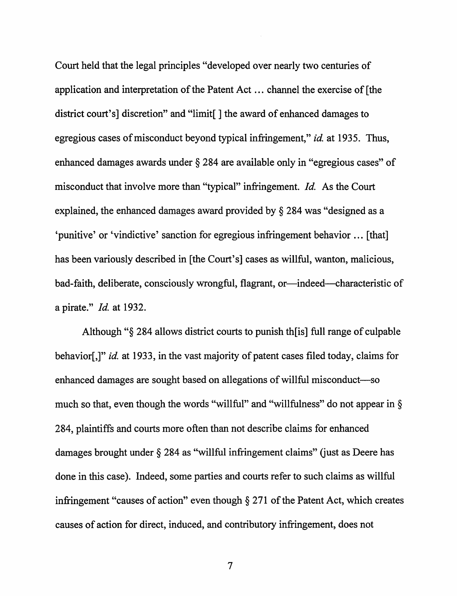Court held that the legal principles "developed over nearly two centuries of application and interpretation of the Patent Act ... channel the exercise of [the district court's] discretion" and "limit[] the award of enhanced damages to egregious cases of misconduct beyond typical infringement," *id.* at 1935. Thus, enhanced damages awards under § 284 are available only in "egregious cases" of misconduct that involve more than "typical" infringement. *Id.* As the Court explained, the enhanced damages award provided by § 284 was "designed as a 'punitive' or 'vindictive' sanction for egregious infringement behavior ... [that] has been variously described in [the Court's] cases as willful, wanton, malicious, bad-faith, deliberate, consciously wrongful, flagrant, or-indeed-characteristic of a pirate." *Id.* at 1932.

Although "§ 284 allows district courts to punish th[is] full range of culpable behavior[,]" *id.* at 1933, in the vast majority of patent cases filed today, claims for enhanced damages are sought based on allegations of willful misconduct-so much so that, even though the words "willful" and "willfulness" do not appear in  $\S$ 284, plaintiffs and courts more often than not describe claims for enhanced damages brought under  $\S 284$  as "willful infringement claims" (just as Deere has done in this case). Indeed, some parties and courts refer to such claims as willful infringement "causes of action" even though§ 271 of the Patent Act, which creates causes of action for direct, induced, and contributory infringement, does not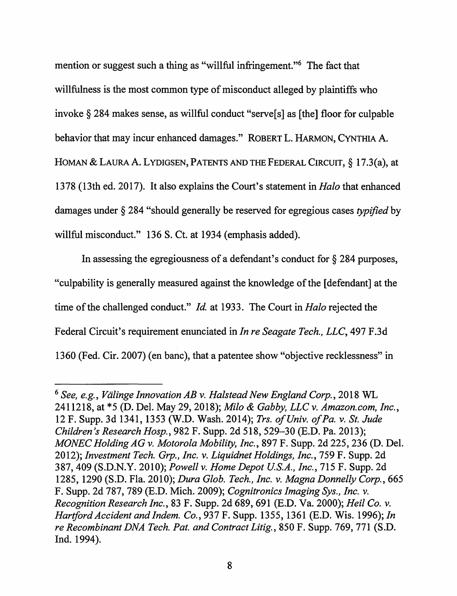mention or suggest such a thing as "willful infringement."<sup>6</sup> The fact that willfulness is the most common type of misconduct alleged by plaintiffs who invoke§ 284 makes sense, as willful conduct "serve[s] as [the] floor for culpable behavior that may incur enhanced damages." ROBERT L. HARMON, CYNTHIA A. HOMAN & LAURA A. LYDIGSEN, PATENTS AND THE FEDERAL CIRCUIT, § 17.3(a), at 1378 (13th ed. 2017). It also explains the Court's statement in *Halo* that enhanced damages under § 284 "should generally be reserved for egregious cases *typified* by willful misconduct." 136 S. Ct. at 1934 (emphasis added).

In assessing the egregiousness of a defendant's conduct for§ 284 purposes, "culpability is generally measured against the knowledge of the [defendant] at the time of the challenged conduct." *Id.* at 1933. The Court in *Halo* rejected the Federal Circuit's requirement enunciated in *In re Seagate Tech., LLC,* 497 F.3d 1360 (Fed. Cir. 2007) (en bane), that a patentee show "objective recklessness" in

<sup>6</sup>*See, e.g., Viilinge Innovation AB v. Halstead New England Corp.,* 2018 WL 2411218, at \*5 (D. Del. May 29, 2018); *Milo* & *Gabby, LLC v. Amazon.com, Inc.,*  12 F. Supp. 3d 1341, 1353 (W.D. Wash. 2014); *Trs. of Univ. of Pa. v. St. Jude Children's Research Hosp.,* 982 F. Supp. 2d 518, 529-30 (E.D. Pa. 2013); *MONEC Holding AG v. Motorola Mobility, Inc.,* 897 F. Supp. 2d 225, 236 (D. Del. 2012); *Investment Tech. Grp., Inc. v. Liquidnet Holdings, Inc.,* 759 F. Supp. 2d 387,409 (S.D.N.Y. 2010); *Powell v. Home Depot U.S.A., Inc.,* 715 F. Supp. 2d 1285, 1290 (S.D. Fla. 2010); *Dura Glob. Tech., Inc. v. Magna Donnelly Corp.*, 665 F. Supp. 2d 787, 789 (E.D. Mich. 2009); *Cogrzitronics Imaging Sys., Inc. v. Recogrzition Research Inc.,* 83 F. Supp. 2d 689,691 (E.D. Va. 2000); *Heil Co. v. Hartford Accident and lndem. Co.,* 937 F. Supp. 1355, 1361 (E.D. Wis. 1996); *In re Recombinant DNA Tech. Pat. and Contract Litig.,* 850 F. Supp. 769, 771 (S.D. Ind. 1994).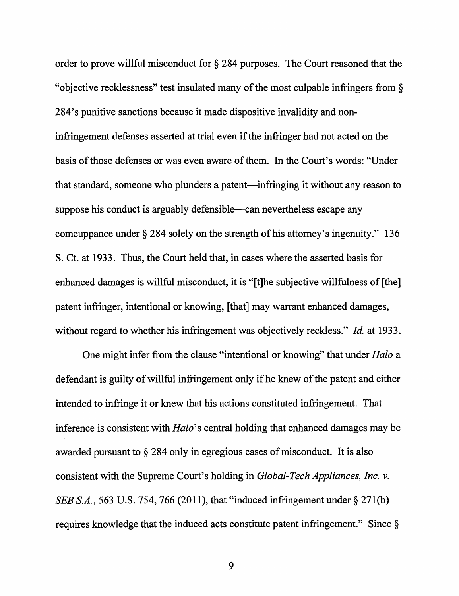order to prove willful misconduct for § 284 purposes. The Court reasoned that the "objective recklessness" test insulated many of the most culpable infringers from§ 284' s punitive sanctions because it made dispositive invalidity and noninfringement defenses asserted at trial even if the infringer had not acted on the basis of those defenses or was even aware of them. In the Court's words: "Under that standard, someone who plunders a patent—infringing it without any reason to suppose his conduct is arguably defensible—can nevertheless escape any comeuppance under§ 284 solely on the strength of his attorney's ingenuity." 136 S. Ct. at 1933. Thus, the Court held that, in cases where the asserted basis for enhanced damages is willful misconduct, it is "[t]he subjective willfulness of [the] patent infringer, intentional or knowing, [that] may warrant enhanced damages, without regard to whether his infringement was objectively reckless." *Id.* at 1933.

One might infer from the clause "intentional or knowing" that under *Halo* a defendant is guilty of willful infringement only if he knew of the patent and either intended to infringe it or knew that his actions constituted infringement. That inference is consistent with *Halo's* central holding that enhanced damages may be awarded pursuant to § 284 only in egregious cases of misconduct. It is also consistent with the Supreme Court's holding in *Global-Tech Appliances, Inc. v. SEB S.A.*, 563 U.S. 754, 766 (2011), that "induced infringement under § 271(b) requires knowledge that the induced acts constitute patent infringement." Since §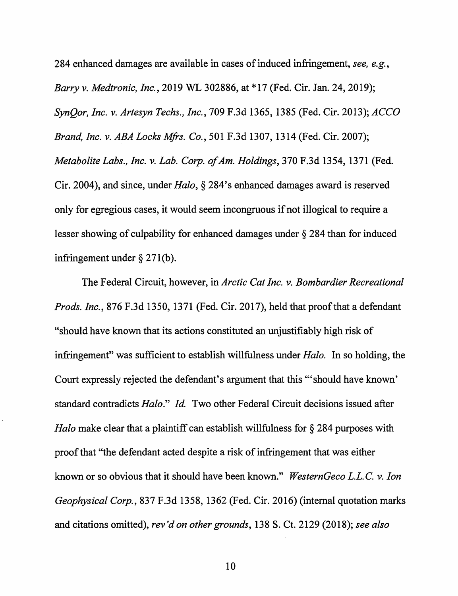284 enhanced damages are available in cases of induced infringement, *see, e.g., Barry v. Medtronic, Inc.,* 2019 WL 302886, at \*17 (Fed. Cir. Jan. 24, 2019); *SynQor, Inc. v. Artesyn Techs., Inc.,* 709 F.3d 1365, 1385 (Fed. Cir. 2013); *ACCO Brand, Inc. v. ABA Locks Mfrs. Co.,* 501 F.3d 1307, 1314 (Fed. Cir. 2007); *Metabolite Labs., Inc. v. Lab. Corp. of Am. Holdings,* 370 F.3d 1354, 1371 (Fed. Cir. 2004), and since, under *Halo,§* 284's enhanced damages award is reserved only for egregious cases, it would seem incongruous if not illogical to require a lesser showing of culpability for enhanced damages under § 284 than for induced infringement under  $\S 271(b)$ .

The Federal Circuit, however, in *Arctic Cat Inc. v. Bombardier Recreational Prods. Inc.,* 876 F.3d 1350, 1371 (Fed. Cir. 2017), held that proof that a defendant "should have known that its actions constituted an unjustifiably high risk of infringement" was sufficient to establish willfulness under *Halo.* In so holding, the Court expressly rejected the defendant's argument that this '"should have known' standard contradicts *Halo." Id.* Two other Federal Circuit decisions issued after *Halo* make clear that a plaintiff can establish willfulness for § 284 purposes with proof that "the defendant acted despite a risk of infringement that was either known or so obvious that it should have been known." *WesternGeco L.L.C. v. Ion Geophysical Corp.,* 837 F.3d 1358, 1362 (Fed. Cir. 2016) (internal quotation marks and citations omitted), *rev 'don other grounds,* 138 S. Ct. 2129 (2018); *see also*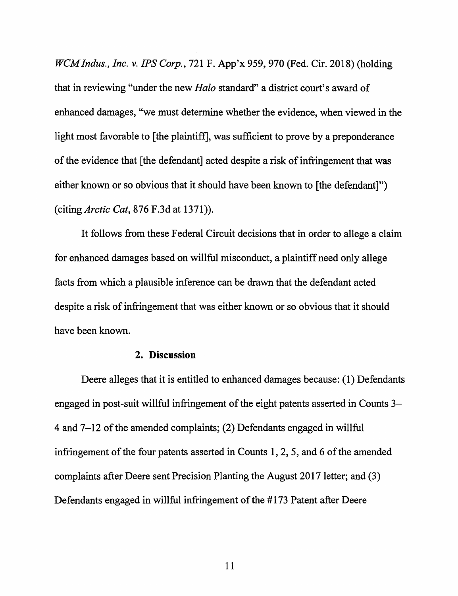*WCM Indus., Inc. v. JPS Corp.,* 721 F. App'x 959, 970 (Fed. Cir. 2018) (holding that in reviewing "under the new *Halo* standard" a district court's award of enhanced damages, "we must determine whether the evidence, when viewed in the light most favorable to [the plaintiff], was sufficient to prove by a preponderance of the evidence that [ the defendant] acted despite a risk of infringement that was either known or so obvious that it should have been known to [the defendant]") (citing *Arctic Cat,* 876 F.3d at 1371)).

It follows from these Federal Circuit decisions that in order to allege a claim for enhanced damages based on willful misconduct, a plaintiff need only allege facts from which a plausible inference can be drawn that the defendant acted despite a risk of infringement that was either known or so obvious that it should have been known.

## **2. Discussion**

Deere alleges that it is entitled to enhanced damages because: (1) Defendants engaged in post-suit willful infringement of the eight patents asserted in Counts 3- 4 and 7-12 of the amended complaints; (2) Defendants engaged in willful infringement of the four patents asserted in Counts 1, 2, 5, and 6 of the amended complaints after Deere sent Precision Planting the August 2017 letter; and (3) Defendants engaged in willful infringement of the #173 Patent after Deere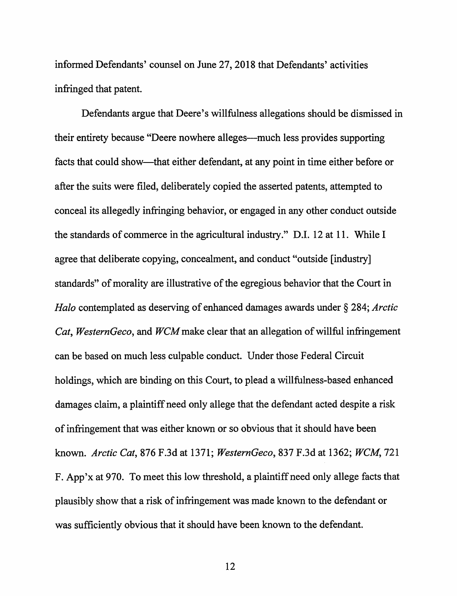informed Defendants' counsel on June 27, 2018 that Defendants' activities infringed that patent.

Defendants argue that Deere's willfulness allegations should be dismissed in their entirety because "Deere nowhere alleges-much less provides supporting facts that could show-that either defendant, at any point in time either before or after the suits were filed, deliberately copied the asserted patents, attempted to conceal its allegedly infringing behavior, or engaged in any other conduct outside the standards of commerce in the agricultural industry." D.I. 12 at 11. While I agree that deliberate copying, concealment, and conduct "outside [industry] standards" of morality are illustrative of the egregious behavior that the Court in *Halo* contemplated as deserving of enhanced damages awards under § 284; *Arctic Cat, WesternGeco,* and *WCMmake* clear that an allegation of willful infringement can be based on much less culpable conduct. Under those Federal Circuit holdings, which are binding on this Court, to plead a willfulness-based enhanced damages claim, a plaintiff need only allege that the defendant acted despite a risk of infringement that was either known or so obvious that it should have been known. *Arctic Cat,* 876 F.3d at 1371; *WesternGeco,* 837 F.3d at 1362; *WCM,* 721 F. App'x at 970. To meet this low threshold, a plaintiff need only allege facts that plausibly show that a risk of infringement was made known to the defendant or was sufficiently obvious that it should have been known to the defendant.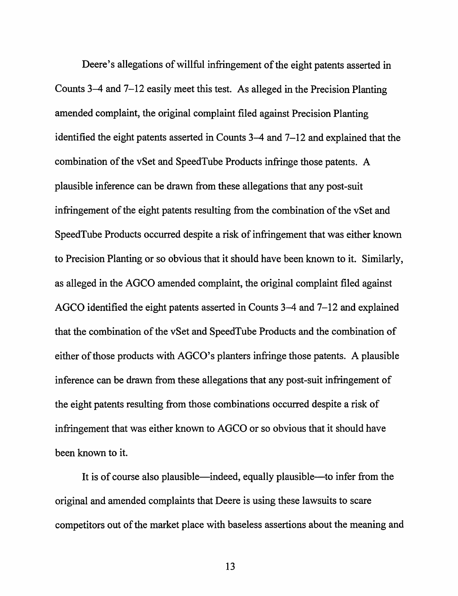Deere's allegations of willful infringement of the eight patents asserted in Counts  $3-4$  and  $7-12$  easily meet this test. As alleged in the Precision Planting amended complaint, the original complaint filed against Precision Planting identified the eight patents asserted in Counts 3–4 and 7–12 and explained that the combination of the vSet and SpeedTube Products infringe those patents. A plausible inference can be drawn from these allegations that any post-suit infringement of the eight patents resulting from the combination of the vSet and SpeedTube Products occurred despite a risk of infringement that was either known to Precision Planting or so obvious that it should have been known to it. Similarly, as alleged in the AGCO amended complaint, the original complaint filed against AGCO identified the eight patents asserted in Counts 3–4 and 7–12 and explained that the combination of the vSet and SpeedTube Products and the combination of either of those products with AGCO's planters infringe those patents. A plausible inference can be drawn from these allegations that any post-suit infringement of the eight patents resulting from those combinations occurred despite a risk of infringement that was either known to AGCO or so obvious that it should have been known to it.

It is of course also plausible—indeed, equally plausible—to infer from the original and amended complaints that Deere is using these lawsuits to scare competitors out of the market place with baseless assertions about the meaning and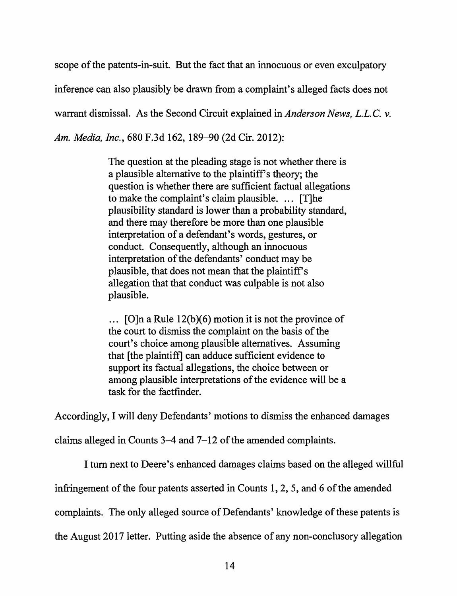scope of the patents-in-suit. But the fact that an innocuous or even exculpatory inference can also plausibly be drawn from a complaint's alleged facts does not warrant dismissal. As the Second Circuit explained in *Anderson News,* L.L. C. *v. Am. Media, Inc.,* 680 F.3d 162, 189-90 (2d Cir. 2012):

> The question at the pleading stage is not whether there is a plausible alternative to the plaintiff's theory; the question is whether there are sufficient factual allegations to make the complaint's claim plausible.  $\ldots$  [T]he plausibility standard is lower than a probability standard, and there may therefore be more than one plausible interpretation of a defendant's words, gestures, or conduct. Consequently, although an innocuous interpretation of the defendants' conduct may be plausible, that does not mean that the plaintiff's allegation that that conduct was culpable is not also plausible.

 $\ldots$  [O]n a Rule 12(b)(6) motion it is not the province of the court to dismiss the complaint on the basis of the court's choice among plausible alternatives. Assuming that [the plaintiff] can adduce sufficient evidence to support its factual allegations, the choice between or among plausible interpretations of the evidence will be a task for the factfinder.

Accordingly, I will deny Defendants' motions to dismiss the enhanced damages

claims alleged in Counts 3-4 and 7-12 of the amended complaints.

I tum next to Deere's enhanced damages claims based on the alleged willful

infringement of the four patents asserted in Counts 1, 2, 5, and 6 of the amended

complaints. The only alleged source of Defendants' knowledge of these patents is

the August 2017 letter. Putting aside the absence of any non-conclusory allegation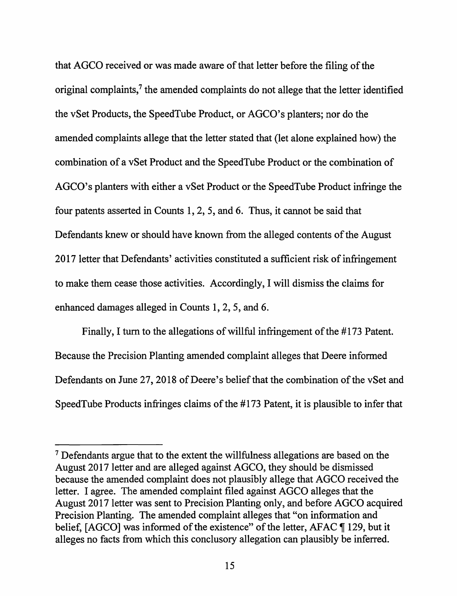that AGCO received or was made aware of that letter before the filing of the original complaints,<sup>7</sup> the amended complaints do not allege that the letter identified the vSet Products, the SpeedTube Product, or AGCO's planters; nor do the amended complaints allege that the letter stated that (let alone explained how) the combination of a vSet Product and the SpeedTube Product or the combination of AGCO's planters with either a vSet Product or the SpeedTube Product infringe the four patents asserted in Counts 1, 2, 5, and 6. Thus, it cannot be said that Defendants knew or should have known from the alleged contents of the August 2017 letter that Defendants' activities constituted a sufficient risk of infringement to make them cease those activities. Accordingly, I will dismiss the claims for enhanced damages alleged in Counts 1, 2, 5, and 6.

Finally, I tum to the allegations of willful infringement of the #173 Patent. Because the Precision Planting amended complaint alleges that Deere informed Defendants on June 27, 2018 of Deere's belief that the combination of the vSet and SpeedTube Products infringes claims of the # 173 Patent, it is plausible to infer that

<sup>&</sup>lt;sup>7</sup> Defendants argue that to the extent the willfulness allegations are based on the August 2017 letter and are alleged against AGCO, they should be dismissed because the amended complaint does not plausibly allege that AGCO received the letter. I agree. The amended complaint filed against AGCO alleges that the August 2017 letter was sent to Precision Planting only, and before AGCO acquired Precision Planting. The amended complaint alleges that "on information and belief,  $[AGCO]$  was informed of the existence" of the letter, AFAC  $\P$  129, but it alleges no facts from which this conclusory allegation can plausibly be inferred.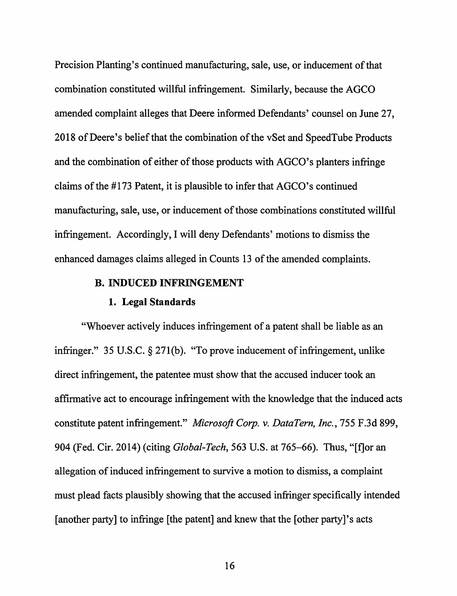Precision Planting's continued manufacturing, sale, use, or inducement of that combination constituted willful infringement. Similarly, because the AGCO amended complaint alleges that Deere informed Defendants' counsel on June 27, 2018 of Deere's belief that the combination of the vSet and Speed Tube Products and the combination of either of those products with AGCO's planters infringe claims of the #173 Patent, it is plausible to infer that AGCO's continued manufacturing, sale, use, or inducement of those combinations constituted willful infringement. Accordingly, I will deny Defendants' motions to dismiss the enhanced damages claims alleged in Counts 13 of the amended complaints.

## **B. INDUCED INFRINGEMENT**

# **1. Legal Standards**

"Whoever actively induces infringement of a patent shall be liable as an infringer." 35 U.S.C. § 271(b). "To prove inducement of infringement, unlike direct infringement, the patentee must show that the accused inducer took an affirmative act to encourage infringement with the knowledge that the induced acts constitute patent infringement." *Microsoft Corp. v. DataTern, Inc.,* 755 F.3d 899, 904 (Fed. Cir. 2014) (citing *Global-Tech,* 563 U.S. at 765-66). Thus, "[fJor an allegation of induced infringement to survive a motion to dismiss, a complaint must plead facts plausibly showing that the accused infringer specifically intended [another party] to infringe [the patent] and knew that the [other party]'s acts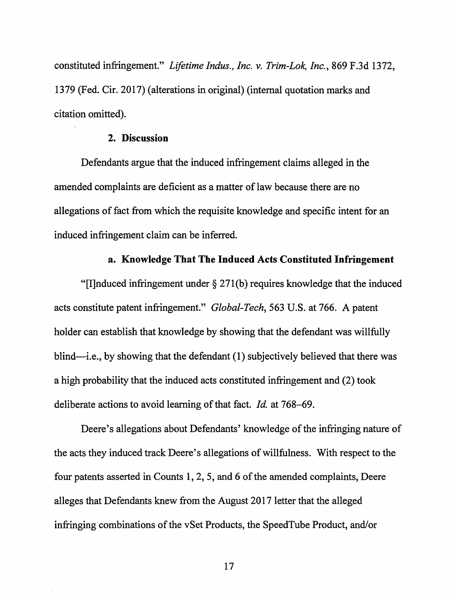constituted infringement." *Lifetime Indus., Inc. v. Trim-Lok, Inc.,* 869 F.3d 1372, 1379 (Fed. Cir. 2017) (alterations in original) (internal quotation marks and citation omitted).

## **2. Discussion**

Defendants argue that the induced infringement claims alleged in the amended complaints are deficient as a matter of law because there are no allegations of fact from which the requisite knowledge and specific intent for an induced infringement claim can be inferred.

## **a. Knowledge That The Induced Acts Constituted Infringement**

"[I]nduced infringement under  $\S 271(b)$  requires knowledge that the induced acts constitute patent infringement." *Global-Tech,* 563 U.S. at 766. A patent holder can establish that knowledge by showing that the defendant was willfully blind—i.e., by showing that the defendant (1) subjectively believed that there was a high probability that the induced acts constituted infringement and (2) took deliberate actions to avoid learning of that fact. *Id.* at 768-69.

Deere's allegations about Defendants' knowledge of the infringing nature of the acts they induced track Deere's allegations of willfulness. With respect to the four patents asserted in Counts 1, 2, 5, and 6 of the amended complaints, Deere alleges that Defendants knew from the August 2017 letter that the alleged infringing combinations of the vSet Products, the SpeedTube Product, and/or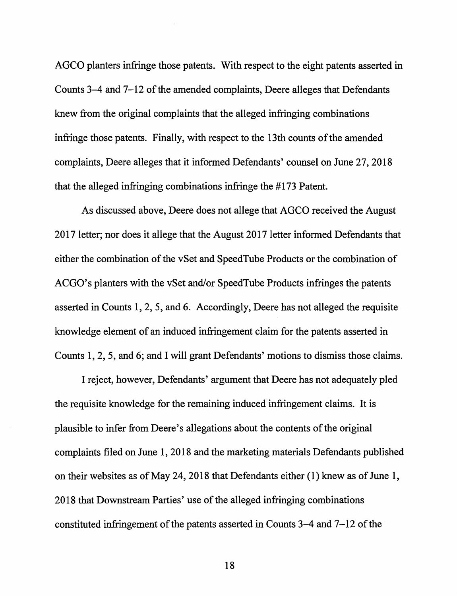AGCO planters infringe those patents. With respect to the eight patents asserted in Counts 3-4 and 7-12 of the amended complaints, Deere alleges that Defendants knew from the original complaints that the alleged infringing combinations infringe those patents. Finally, with respect to the 13th counts of the amended complaints, Deere alleges that it informed Defendants' counsel on June 27, 2018 that the alleged infringing combinations infringe the #173 Patent.

As discussed above, Deere does not allege that AGCO received the August 2017 letter; nor does it allege that the August 2017 letter informed Defendants that either the combination of the vSet and Speed Tube Products or the combination of ACGO's planters with the vSet and/or SpeedTube Products infringes the patents asserted in Counts 1, 2, 5, and 6. Accordingly, Deere has not alleged the requisite knowledge element of an induced infringement claim for the patents asserted in Counts 1, 2, 5, and 6; and I will grant Defendants' motions to dismiss those claims.

I reject, however, Defendants' argument that Deere has not adequately pied the requisite knowledge for the remaining induced infringement claims. It is plausible to infer from Deere's allegations about the contents of the original complaints filed on June I, 2018 and the marketing materials Defendants published on their websites as of May 24, 2018 that Defendants either (1) knew as of June 1, 2018 that Downstream Parties' use of the alleged infringing combinations constituted infringement of the patents asserted in Counts 3-4 and 7-12 of the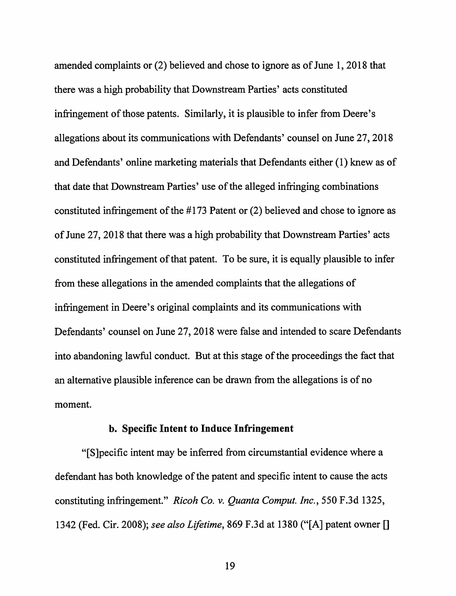amended complaints or (2) believed and chose to ignore as of June 1, 2018 that there was a high probability that Downstream Parties' acts constituted infringement of those patents. Similarly, it is plausible to infer from Deere's allegations about its communications with Defendants' counsel on June 27, 2018 and Defendants' online marketing materials that Defendants either ( 1) knew as of that date that Downstream Parties' use of the alleged infringing combinations constituted infringement of the #173 Patent or (2) believed and chose to ignore as of June 27, 2018 that there was a high probability that Downstream Parties' acts constituted infringement of that patent. To be sure, it is equally plausible to infer from these allegations in the amended complaints that the allegations of infringement in Deere's original complaints and its communications with Defendants' counsel on June 27, 2018 were false and intended to scare Defendants into abandoning lawful conduct. But at this stage of the proceedings the fact that an alternative plausible inference can be drawn from the allegations is of no moment.

## **b. Specific Intent to Induce Infringement**

"[S]pecific intent may be inferred from circumstantial evidence where a defendant has both knowledge of the patent and specific intent to cause the acts constituting infringement." *Ricoh Co. v. Quanta Comput. Inc.,* 550 F.3d 1325, 1342 (Fed. Cir. 2008); *see also Lifetime,* 869 F.3d at 1380 ("[A] patent owner[]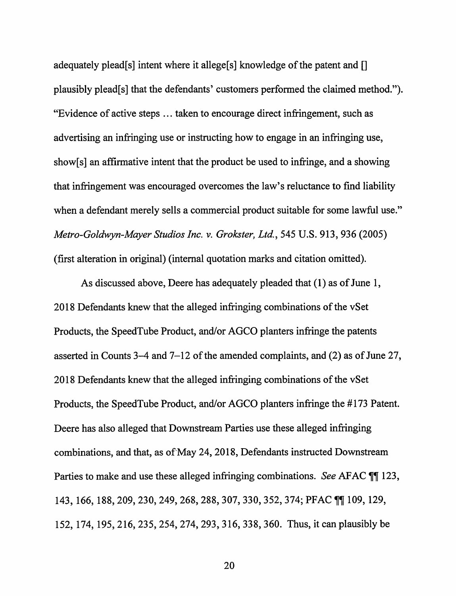adequately plead[s] intent where it allege[s] knowledge of the patent and [] plausibly plead[s] that the defendants' customers performed the claimed method."). "Evidence of active steps ... taken to encourage direct infringement, such as advertising an infringing use or instructing how to engage in an infringing use, show[s] an affirmative intent that the product be used to infringe, and a showing that infringement was encouraged overcomes the law's reluctance to find liability when a defendant merely sells a commercial product suitable for some lawful use." *Metro-Goldwyn-Mayer Studios Inc.* v. *Grokster, Ltd.,* 545 U.S. 913, 936 (2005) (first alteration in original) (internal quotation marks and citation omitted).

As discussed above, Deere has adequately pleaded that (1) as of June 1, 2018 Defendants knew that the alleged infringing combinations of the vSet Products, the SpeedTube Product, and/or AGCO planters infringe the patents asserted in Counts 3-4 and 7-12 of the amended complaints, and (2) as of June 27, 2018 Defendants knew that the alleged infringing combinations of the vSet Products, the SpeedTube Product, and/or AGCO planters infringe the # 173 Patent. Deere has also alleged that Downstream Parties use these alleged infringing combinations, and that, as of May 24, 2018, Defendants instructed Downstream Parties to make and use these alleged infringing combinations. *See* AFAC  $\P\P$  123, 143, 166, 188, 209, 230, 249, 268, 288, 307, 330, 352, 374; PFAC TI 109, 129, 152, 174, 195, 216,235,254,274, 293, 316, 338, 360. Thus, it can plausibly be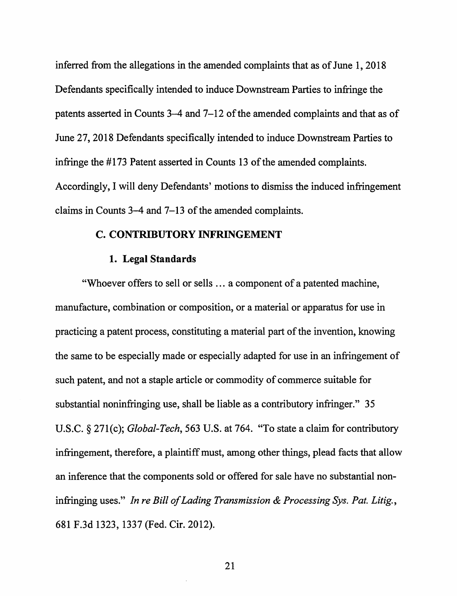inferred from the allegations in the amended complaints that as of June 1, 2018 Defendants specifically intended to induce Downstream Parties to infringe the patents asserted in Counts 3-4 and 7-12 of the amended complaints and that as of June 27, 2018 Defendants specifically intended to induce Downstream Parties to infringe the #173 Patent asserted in Counts 13 of the amended complaints. Accordingly, I will deny Defendants' motions to dismiss the induced infringement claims in Counts 3-4 and 7-13 of the amended complaints.

## **C. CONTRIBUTORY INFRINGEMENT**

#### **1. Legal Standards**

"Whoever offers to sell or sells ... a component of a patented machine, manufacture, combination or composition, or a material or apparatus for use in practicing a patent process, constituting a material part of the invention, knowing the same to be especially made or especially adapted for use in an infringement of such patent, and not a staple article or commodity of commerce suitable for substantial noninfringing use, shall be liable as a contributory infringer." 35 U.S.C. § 271(c); *Global-Tech,* 563 U.S. at 764. "To state a claim for contributory infringement, therefore, a plaintiff must, among other things, plead facts that allow an inference that the components sold or offered for sale have no substantial noninfringing uses." *In re Bill of Lading Transmission & Processing Sys. Pat. Litig.,*  681 F.3d 1323, 1337 (Fed. Cir. 2012).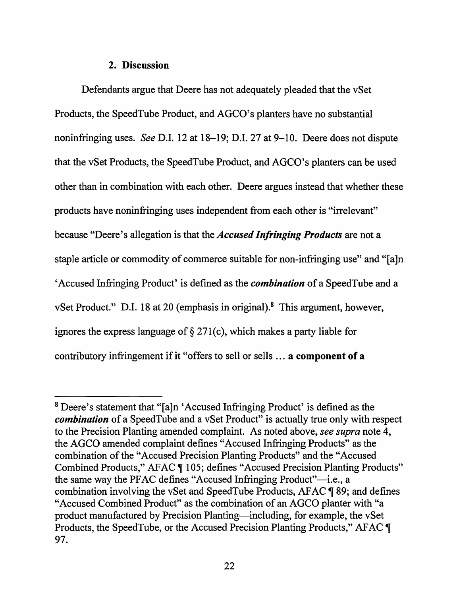## **2. Discussion**

Defendants argue that Deere has not adequately pleaded that the vSet Products, the SpeedTube Product, and AGCO's planters have no substantial noninfringing uses. *See* D.I. 12 at 18–19; D.I. 27 at 9–10. Deere does not dispute that the vSet Products, the SpeedTube Product, and AGCO's planters can be used other than in combination with each other. Deere argues instead that whether these products have noninfringing uses independent from each other is "irrelevant" because "Deere's allegation is that the *Accused Infringing Products* are not a staple article or commodity of commerce suitable for non-infringing use" and "[a]n 'Accused Infringing Product' is defined as the *combination* of a Speed Tube and a vSet Product." D.I. 18 at 20 (emphasis in original).<sup>8</sup> This argument, however, ignores the express language of§ 271(c), which makes a party liable for contributory infringement if it "offers to sell or sells ... **a component of a** 

<sup>8</sup> Deere's statement that "[a]n 'Accused Infringing Product' is defined as the *combination* of a SpeedTube and a vSet Product" is actually true only with respect to the Precision Planting amended complaint. As noted above, *see supra* note 4, the AGCO amended complaint defines "Accused Infringing Products" as the combination of the "Accused Precision Planting Products" and the "Accused Combined Products," AFAC ¶ 105; defines "Accused Precision Planting Products" the same way the PFAC defines "Accused Infringing Product"—i.e., a combination involving the vSet and SpeedTube Products, AFAC  $\P$  89; and defines "Accused Combined Product" as the combination of an AGCO planter with "a product manufactured by Precision Planting-including, for example, the vSet Products, the SpeedTube, or the Accused Precision Planting Products," AFAC  $\P$ 97.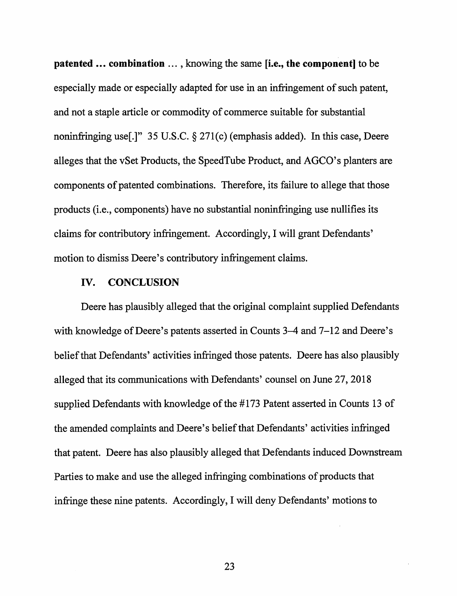**patented** ... **combination** ... , knowing the same **[i.e., the component]** to be especially made or especially adapted for use in an infringement of such patent, and not a staple article or commodity of commerce suitable for substantial noninfringing use[.]" 35 U.S.C. § 271(c) (emphasis added). In this case, Deere alleges that the vSet Products, the SpeedTube Product, and AGCO's planters are components of patented combinations. Therefore, its failure to allege that those products (i.e., components) have no substantial noninfringing use nullifies its claims for contributory infringement. Accordingly, I will grant Defendants' motion to dismiss Deere's contributory infringement claims.

### **IV. CONCLUSION**

Deere has plausibly alleged that the original complaint supplied Defendants with knowledge of Deere's patents asserted in Counts 3–4 and 7–12 and Deere's belief that Defendants' activities infringed those patents. Deere has also plausibly alleged that its communications with Defendants' counsel on June 27, 2018 supplied Defendants with knowledge of the #173 Patent asserted in Counts 13 of the amended complaints and Deere's belief that Defendants' activities infringed that patent. Deere has also plausibly alleged that Defendants induced Downstream Parties to make and use the alleged infringing combinations of products that infringe these nine patents. Accordingly, I will deny Defendants' motions to